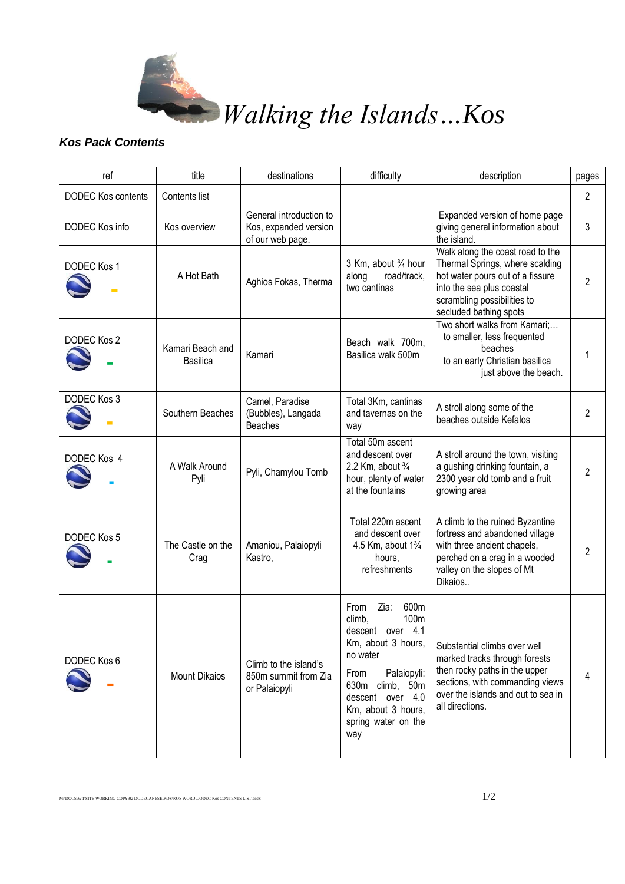

## Walking the Islands…Kos

## *Kos Pack Contents*

| ref                       | title                        | destinations                                                         | difficulty                                                                                                                                                                                                     | description                                                                                                                                                                                   | pages          |
|---------------------------|------------------------------|----------------------------------------------------------------------|----------------------------------------------------------------------------------------------------------------------------------------------------------------------------------------------------------------|-----------------------------------------------------------------------------------------------------------------------------------------------------------------------------------------------|----------------|
| <b>DODEC Kos contents</b> | Contents list                |                                                                      |                                                                                                                                                                                                                |                                                                                                                                                                                               | $\overline{2}$ |
| DODEC Kos info            | Kos overview                 | General introduction to<br>Kos, expanded version<br>of our web page. |                                                                                                                                                                                                                | Expanded version of home page<br>giving general information about<br>the island.                                                                                                              | 3              |
| DODEC Kos 1               | A Hot Bath                   | Aghios Fokas, Therma                                                 | 3 Km, about 3/4 hour<br>along<br>road/track,<br>two cantinas                                                                                                                                                   | Walk along the coast road to the<br>Thermal Springs, where scalding<br>hot water pours out of a fissure<br>into the sea plus coastal<br>scrambling possibilities to<br>secluded bathing spots | 2              |
| DODEC Kos 2               | Kamari Beach and<br>Basilica | Kamari                                                               | Beach walk 700m,<br>Basilica walk 500m                                                                                                                                                                         | Two short walks from Kamari;<br>to smaller, less frequented<br>beaches<br>to an early Christian basilica<br>just above the beach.                                                             |                |
| DODEC Kos 3               | Southern Beaches             | Camel, Paradise<br>(Bubbles), Langada<br><b>Beaches</b>              | Total 3Km, cantinas<br>and tavernas on the<br>way                                                                                                                                                              | A stroll along some of the<br>beaches outside Kefalos                                                                                                                                         | 2              |
| DODEC Kos 4               | A Walk Around<br>Pyli        | Pyli, Chamylou Tomb                                                  | Total 50m ascent<br>and descent over<br>2.2 Km, about $\frac{3}{4}$<br>hour, plenty of water<br>at the fountains                                                                                               | A stroll around the town, visiting<br>a gushing drinking fountain, a<br>2300 year old tomb and a fruit<br>growing area                                                                        | 2              |
| DODEC Kos 5               | The Castle on the<br>Crag    | Amaniou, Palaiopyli<br>Kastro,                                       | Total 220m ascent<br>and descent over<br>4.5 Km, about 1 <sup>3</sup> / <sub>4</sub><br>hours,<br>refreshments                                                                                                 | A climb to the ruined Byzantine<br>fortress and abandoned village<br>with three ancient chapels,<br>perched on a crag in a wooded<br>valley on the slopes of Mt<br>Dikaios                    | 2              |
| DODEC Kos 6               | <b>Mount Dikaios</b>         | Climb to the island's<br>850m summit from Zia<br>or Palaiopyli       | 600m<br>Zia:<br>From<br>100m<br>climb,<br>descent over 4.1<br>Km, about 3 hours,<br>no water<br>Palaiopyli:<br>From<br>630m climb, 50m<br>descent over 4.0<br>Km, about 3 hours,<br>spring water on the<br>way | Substantial climbs over well<br>marked tracks through forests<br>then rocky paths in the upper<br>sections, with commanding views<br>over the islands and out to sea in<br>all directions.    | 4              |